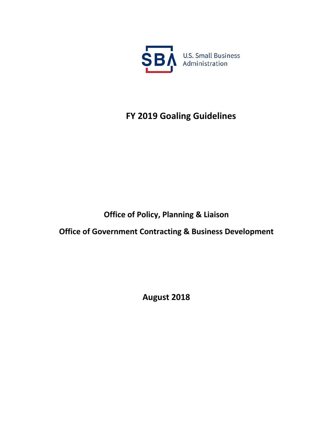

# **FY 2019 Goaling Guidelines**

# **Office of Policy, Planning & Liaison**

**Office of Government Contracting & Business Development**

**August 2018**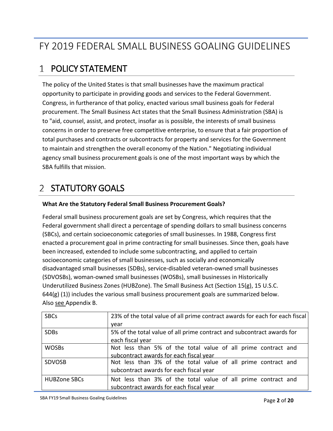# FY 2019 FEDERAL SMALL BUSINESS GOALING GUIDELINES

# POLICY STATEMENT

The policy of the United States is that small businesses have the maximum practical opportunity to participate in providing goods and services to the Federal Government. Congress, in furtherance of that policy, enacted various small business goals for Federal procurement. The Small Business Act states that the Small Business Administration (SBA) is to "aid, counsel, assist, and protect, insofar as is possible, the interests of small business concerns in order to preserve free competitive enterprise, to ensure that a fair proportion of total purchases and contracts or subcontracts for property and services for the Government to maintain and strengthen the overall economy of the Nation." Negotiating individual agency small business procurement goals is one of the most important ways by which the SBA fulfills that mission.

#### STATUTORY GOALS  $\mathcal{L}$

### **What Are the Statutory Federal Small Business Procurement Goals?**

Federal small business procurement goals are set by Congress, which requires that the Federal government shall direct a percentage of spending dollars to small business concerns (SBCs), and certain socioeconomic categories of small businesses. In 1988, Congress first enacted a procurement goal in prime contracting for small businesses. Since then, goals have been increased, extended to include some subcontracting, and applied to certain socioeconomic categories of small businesses, such as socially and economically disadvantaged small businesses (SDBs), service-disabled veteran-owned small businesses (SDVOSBs), woman-owned small businesses (WOSBs), small businesses in Historically Underutilized Business Zones (HUBZone). The Small Business Act (Section 15(g), 15 U.S.C.  $644(g)$  (1)) includes the various small business procurement goals are summarized below. Also see Appendix B.

| <b>SBCs</b>         | 23% of the total value of all prime contract awards for each for each fiscal |
|---------------------|------------------------------------------------------------------------------|
|                     | year                                                                         |
| <b>SDBs</b>         | 5% of the total value of all prime contract and subcontract awards for       |
|                     | each fiscal year                                                             |
| <b>WOSBs</b>        | Not less than 5% of the total value of all prime contract and                |
|                     | subcontract awards for each fiscal year                                      |
| <b>SDVOSB</b>       | Not less than 3% of the total value of all prime contract and                |
|                     | subcontract awards for each fiscal year                                      |
| <b>HUBZone SBCs</b> | Not less than 3% of the total value of all prime contract and                |
|                     | subcontract awards for each fiscal year                                      |

SBA FY19 Small Business Goaling Guidelines **Example 2 of 20** SBA FY19 Small Business Goaling Guidelines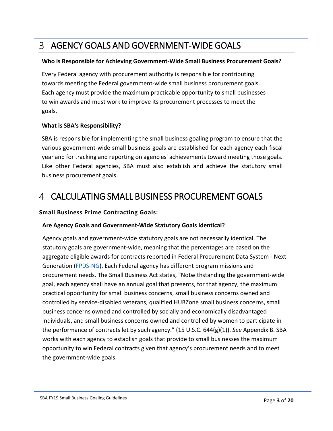# AGENCY GOALS AND GOVERNMENT-WIDE GOALS

### **Who is Responsible for Achieving Government-Wide Small Business Procurement Goals?**

Every Federal agency with procurement authority is responsible for contributing towards meeting the Federal government-wide small business procurement goals. Each agency must provide the maximum practicable opportunity to small businesses to win awards and must work to improve its procurement processes to meet the goals.

### **What is SBA's Responsibility?**

SBA is responsible for implementing the small business goaling program to ensure that the various government-wide small business goals are established for each agency each fiscal year and for tracking and reporting on agencies' achievements toward meeting those goals. Like other Federal agencies, SBA must also establish and achieve the statutory small business procurement goals.

# CALCULATING SMALL BUSINESS PROCUREMENT GOALS

### **Small Business Prime Contracting Goals:**

### **Are Agency Goals and Government-Wide Statutory Goals Identical?**

Agency goals and government-wide statutory goals are not necessarily identical. The statutory goals are government-wide, meaning that the percentages are based on the aggregate eligible awards for contracts reported in Federal Procurement Data System - Next Generation [\(FPDS-NG\)](https://www.fpds.gov/fpdsng_cms/index.php/en/). Each Federal agency has different program missions and procurement needs. The Small Business Act states, "Notwithstanding the government-wide goal, each agency shall have an annual goal that presents, for that agency, the maximum practical opportunity for small business concerns, small business concerns owned and controlled by service-disabled veterans, qualified HUBZone small business concerns, small business concerns owned and controlled by socially and economically disadvantaged individuals, and small business concerns owned and controlled by women to participate in the performance of contracts let by such agency." (15 U.S.C. 644(g)(1)). *See* Appendix B. SBA works with each agency to establish goals that provide to small businesses the maximum opportunity to win Federal contracts given that agency's procurement needs and to meet the government-wide goals.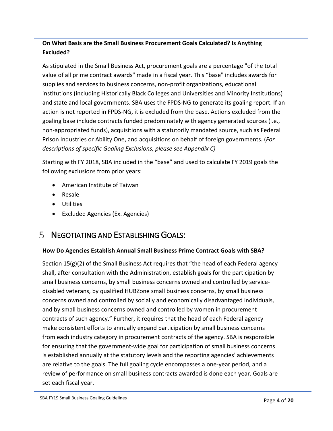## **On What Basis are the Small Business Procurement Goals Calculated? Is Anything Excluded?**

As stipulated in the Small Business Act, procurement goals are a percentage "of the total value of all prime contract awards" made in a fiscal year. This "base" includes awards for supplies and services to business concerns, non-profit organizations, educational institutions (including Historically Black Colleges and Universities and Minority Institutions) and state and local governments. SBA uses the FPDS-NG to generate its goaling report. If an action is not reported in FPDS-NG, it is excluded from the base. Actions excluded from the goaling base include contracts funded predominately with agency generated sources (i.e., non-appropriated funds), acquisitions with a statutorily mandated source, such as Federal Prison Industries or Ability One, and acquisitions on behalf of foreign governments. (*For descriptions of specific Goaling Exclusions, please see Appendix C)*

Starting with FY 2018, SBA included in the "base" and used to calculate FY 2019 goals the following exclusions from prior years:

- American Institute of Taiwan
- Resale
- Utilities
- Excluded Agencies (Ex. Agencies)

# NEGOTIATING AND ESTABLISHING GOALS:

### **How Do Agencies Establish Annual Small Business Prime Contract Goals with SBA?**

Section  $15(g)(2)$  of the Small Business Act requires that "the head of each Federal agency shall, after consultation with the Administration, establish goals for the participation by small business concerns, by small business concerns owned and controlled by servicedisabled veterans, by qualified HUBZone small business concerns, by small business concerns owned and controlled by socially and economically disadvantaged individuals, and by small business concerns owned and controlled by women in procurement contracts of such agency." Further, it requires that the head of each Federal agency make consistent efforts to annually expand participation by small business concerns from each industry category in procurement contracts of the agency. SBA is responsible for ensuring that the government-wide goal for participation of small business concerns is established annually at the statutory levels and the reporting agencies' achievements are relative to the goals. The full goaling cycle encompasses a one-year period, and a review of performance on small business contracts awarded is done each year. Goals are set each fiscal year.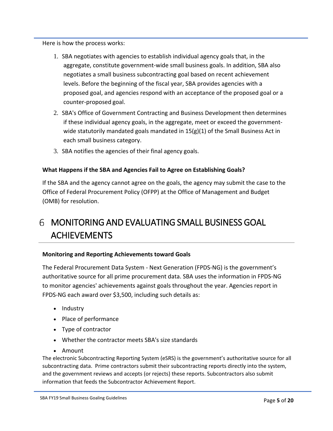Here is how the process works:

- 1. SBA negotiates with agencies to establish individual agency goals that, in the aggregate, constitute government-wide small business goals. In addition, SBA also negotiates a small business subcontracting goal based on recent achievement levels. Before the beginning of the fiscal year, SBA provides agencies with a proposed goal, and agencies respond with an acceptance of the proposed goal or a counter-proposed goal.
- 2. SBA's Office of Government Contracting and Business Development then determines if these individual agency goals, in the aggregate, meet or exceed the governmentwide statutorily mandated goals mandated in 15(g)(1) of the Small Business Act in each small business category.
- 3. SBA notifies the agencies of their final agency goals.

### **What Happens if the SBA and Agencies Fail to Agree on Establishing Goals?**

If the SBA and the agency cannot agree on the goals, the agency may submit the case to the Office of Federal Procurement Policy (OFPP) at the Office of Management and Budget (OMB) for resolution.

# MONITORING AND EVALUATING SMALL BUSINESS GOAL ACHIEVEMENTS

#### **Monitoring and Reporting Achievements toward Goals**

The Federal Procurement Data System - Next Generation (FPDS-NG) is the government's authoritative source for all prime procurement data. SBA uses the information in FPDS-NG to monitor agencies' achievements against goals throughout the year. Agencies report in FPDS-NG each award over \$3,500, including such details as:

- Industry
- Place of performance
- Type of contractor
- Whether the contractor meets SBA's size standards
- Amount

The electronic Subcontracting Reporting System (eSRS) is the government's authoritative source for all subcontracting data. Prime contractors submit their subcontracting reports directly into the system, and the government reviews and accepts (or rejects) these reports. Subcontractors also submit information that feeds the Subcontractor Achievement Report.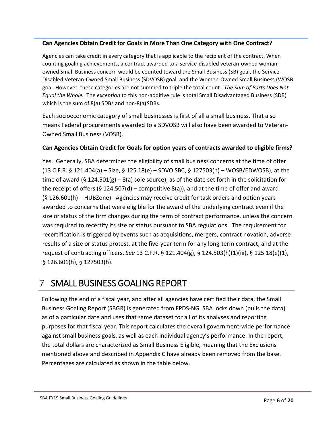### **Can Agencies Obtain Credit for Goals in More Than One Category with One Contract?**

Agencies can take credit in every category that is applicable to the recipient of the contract. When counting goaling achievements, a contract awarded to a service-disabled veteran-owned womanowned Small Business concern would be counted toward the Small Business (SB) goal, the Service-Disabled Veteran-Owned Small Business (SDVOSB) goal, and the Women-Owned Small Business (WOSB goal. However, these categories are not summed to triple the total count. *The Sum of Parts Does Not Equal the Whole.* The *exception* to this non-additive rule is total Small Disadvantaged Business (SDB) which is the sum of  $8(a)$  SDBs and non- $8(a)$  SDBs.

Each socioeconomic category of small businesses is first of all a small business. That also means Federal procurements awarded to a SDVOSB will also have been awarded to Veteran-Owned Small Business (VOSB).

### **Can Agencies Obtain Credit for Goals for option years of contracts awarded to eligible firms?**

Yes. Generally, SBA determines the eligibility of small business concerns at the time of offer (13 C.F.R. § 121.404(a) – Size, § 125.18(e) – SDVO SBC, § 127503(h) – WOSB/EDWOSB), at the time of award (§ 124.501(g) – 8(a) sole source), as of the date set forth in the solicitation for the receipt of offers (§ 124.507(d) – competitive  $8(a)$ ), and at the time of offer and award (§ 126.601(h) – HUBZone). Agencies may receive credit for task orders and option years awarded to concerns that were eligible for the award of the underlying contract even if the size or status of the firm changes during the term of contract performance, unless the concern was required to recertify its size or status pursuant to SBA regulations. The requirement for recertification is triggered by events such as acquisitions, mergers, contract novation, adverse results of a size or status protest, at the five-year term for any long-term contract, and at the request of contracting officers. *See* 13 C.F.R. § 121.404(g), § 124.503(h)(1)(iii), § 125.18(e)(1), § 126.601(h), § 127503(h).

# SMALL BUSINESS GOALING REPORT

Following the end of a fiscal year, and after all agencies have certified their data, the Small Business Goaling Report (SBGR) is generated from FPDS-NG. SBA locks down (pulls the data) as of a particular date and uses that same dataset for all of its analyses and reporting purposes for that fiscal year. This report calculates the overall government-wide performance against small business goals, as well as each individual agency's performance. In the report, the total dollars are characterized as Small Business Eligible, meaning that the Exclusions mentioned above and described in Appendix C have already been removed from the base. Percentages are calculated as shown in the table below.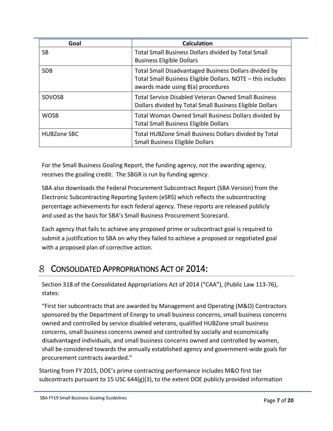| Goal               | <b>Calculation</b>                                                                                                                                        |
|--------------------|-----------------------------------------------------------------------------------------------------------------------------------------------------------|
| SB                 | Total Small Business Dollars divided by Total Small<br><b>Business Eligible Dollars</b>                                                                   |
| <b>SDB</b>         | Total Small Disadvantaged Business Dollars divided by<br>Total Small Business Eligible Dollars. NOTE - this includes<br>awards made using 8(a) procedures |
| <b>SDVOSB</b>      | <b>Total Service Disabled Veteran Owned Small Business</b><br>Dollars divided by Total Small Business Eligible Dollars                                    |
| <b>WOSB</b>        | Total Woman Owned Small Business Dollars divided by<br><b>Total Small Business Eligible Dollars</b>                                                       |
| <b>HUBZone SBC</b> | Total HUBZone Small Business Dollars divided by Total<br><b>Small Business Eligible Dollars</b>                                                           |

For the Small Business Goaling Report, the funding agency, not the awarding agency, receives the goaling credit. The SBGR is run by funding agency.

SBA also downloads the Federal Procurement Subcontract Report (SBA Version) from the Electronic Subcontracting Reporting System (eSRS) which reflects the subcontracting percentage achievements for each federal agency. These reports are released publicly and used as the basis for SBA's Small Business Procurement Scorecard.

Each agency that fails to achieve any proposed prime or subcontract goal is required to submit a justification to SBA on why they failed to achieve a proposed or negotiated goal with a proposed plan of corrective action.

# CONSOLIDATED APPROPRIATIONS ACT OF 2014:

Section 318 of the Consolidated Appropriations Act of 2014 ("CAA"), (Public Law 113-76), states:

"First tier subcontracts that are awarded by Management and Operating (M&O) Contractors sponsored by the Department of Energy to small business concerns, small business concerns owned and controlled by service disabled veterans, qualified HUBZone small business concerns, small business concerns owned and controlled by socially and economically disadvantaged individuals, and small business concerns owned and controlled by women, shall be considered towards the annually established agency and government-wide goals for procurement contracts awarded."

Starting from FY 2015, DOE's prime contracting performance includes M&O first tier subcontracts pursuant to 15 USC  $644(g)(3)$ , to the extent DOE publicly provided information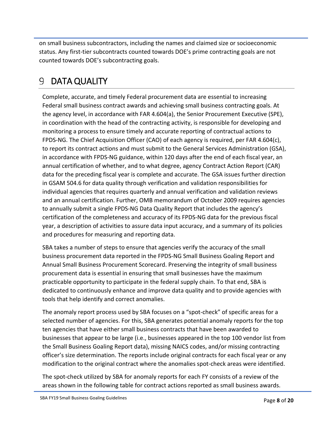on small business subcontractors, including the names and claimed size or socioeconomic status. Any first-tier subcontracts counted towards DOE's prime contracting goals are not counted towards DOE's subcontracting goals.

# 9 DATA QUALITY

Complete, accurate, and timely Federal procurement data are essential to increasing Federal small business contract awards and achieving small business contracting goals. At the agency level, in accordance with FAR 4.604(a), the Senior Procurement Executive (SPE), in coordination with the head of the contracting activity, is responsible for developing and monitoring a process to ensure timely and accurate reporting of contractual actions to FPDS-NG. The Chief Acquisition Officer (CAO) of each agency is required, per FAR 4.604(c), to report its contract actions and must submit to the General Services Administration (GSA), in accordance with FPDS-NG guidance, within 120 days after the end of each fiscal year, an annual certification of whether, and to what degree, agency Contract Action Report (CAR) data for the preceding fiscal year is complete and accurate. The GSA issues further direction in GSAM 504.6 for data quality through verification and validation responsibilities for individual agencies that requires quarterly and annual verification and validation reviews and an annual certification. Further, OMB memorandum of October 2009 requires agencies to annually submit a single FPDS-NG Data Quality Report that includes the agency's certification of the completeness and accuracy of its FPDS-NG data for the previous fiscal year, a description of activities to assure data input accuracy, and a summary of its policies and procedures for measuring and reporting data.

SBA takes a number of steps to ensure that agencies verify the accuracy of the small business procurement data reported in the FPDS-NG Small Business Goaling Report and Annual Small Business Procurement Scorecard. Preserving the integrity of small business procurement data is essential in ensuring that small businesses have the maximum practicable opportunity to participate in the federal supply chain. To that end, SBA is dedicated to continuously enhance and improve data quality and to provide agencies with tools that help identify and correct anomalies.

The anomaly report process used by SBA focuses on a "spot-check" of specific areas for a selected number of agencies. For this, SBA generates potential anomaly reports for the top ten agencies that have either small business contracts that have been awarded to businesses that appear to be large (i.e., businesses appeared in the top 100 vendor list from the Small Business Goaling Report data), missing NAICS codes, and/or missing contracting officer's size determination. The reports include original contracts for each fiscal year or any modification to the original contract where the anomalies spot-check areas were identified.

The spot-check utilized by SBA for anomaly reports for each FY consists of a review of the areas shown in the following table for contract actions reported as small business awards.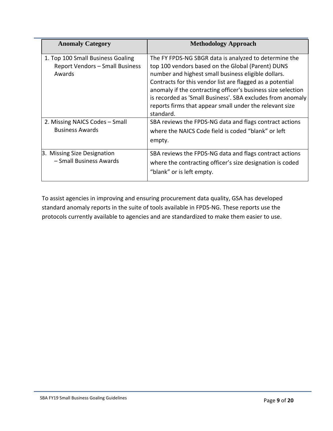| <b>Anomaly Category</b>                                                               | <b>Methodology Approach</b>                                                                                                                                                                                                                                                                                                                                                                                                          |
|---------------------------------------------------------------------------------------|--------------------------------------------------------------------------------------------------------------------------------------------------------------------------------------------------------------------------------------------------------------------------------------------------------------------------------------------------------------------------------------------------------------------------------------|
| 1. Top 100 Small Business Goaling<br><b>Report Vendors - Small Business</b><br>Awards | The FY FPDS-NG SBGR data is analyzed to determine the<br>top 100 vendors based on the Global (Parent) DUNS<br>number and highest small business eligible dollars.<br>Contracts for this vendor list are flagged as a potential<br>anomaly if the contracting officer's business size selection<br>is recorded as 'Small Business'. SBA excludes from anomaly<br>reports firms that appear small under the relevant size<br>standard. |
| 2. Missing NAICS Codes - Small<br><b>Business Awards</b>                              | SBA reviews the FPDS-NG data and flags contract actions<br>where the NAICS Code field is coded "blank" or left<br>empty.                                                                                                                                                                                                                                                                                                             |
| 3. Missing Size Designation<br>- Small Business Awards                                | SBA reviews the FPDS-NG data and flags contract actions<br>where the contracting officer's size designation is coded<br>"blank" or is left empty.                                                                                                                                                                                                                                                                                    |

To assist agencies in improving and ensuring procurement data quality, GSA has developed standard anomaly reports in the suite of tools available in FPDS-NG. These reports use the protocols currently available to agencies and are standardized to make them easier to use.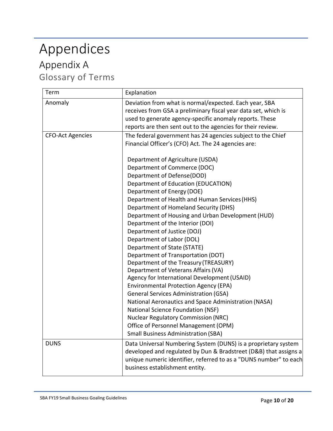# Appendices

# Appendix A Glossary of Terms

| Term                    | Explanation                                                       |
|-------------------------|-------------------------------------------------------------------|
| Anomaly                 | Deviation from what is normal/expected. Each year, SBA            |
|                         | receives from GSA a preliminary fiscal year data set, which is    |
|                         | used to generate agency-specific anomaly reports. These           |
|                         | reports are then sent out to the agencies for their review.       |
| <b>CFO-Act Agencies</b> | The federal government has 24 agencies subject to the Chief       |
|                         | Financial Officer's (CFO) Act. The 24 agencies are:               |
|                         | Department of Agriculture (USDA)                                  |
|                         | Department of Commerce (DOC)                                      |
|                         | Department of Defense(DOD)                                        |
|                         | Department of Education (EDUCATION)                               |
|                         | Department of Energy (DOE)                                        |
|                         | Department of Health and Human Services (HHS)                     |
|                         | Department of Homeland Security (DHS)                             |
|                         | Department of Housing and Urban Development (HUD)                 |
|                         | Department of the Interior (DOI)                                  |
|                         | Department of Justice (DOJ)                                       |
|                         | Department of Labor (DOL)                                         |
|                         | Department of State (STATE)                                       |
|                         | Department of Transportation (DOT)                                |
|                         | Department of the Treasury (TREASURY)                             |
|                         | Department of Veterans Affairs (VA)                               |
|                         | Agency for International Development (USAID)                      |
|                         | <b>Environmental Protection Agency (EPA)</b>                      |
|                         | <b>General Services Administration (GSA)</b>                      |
|                         | National Aeronautics and Space Administration (NASA)              |
|                         | National Science Foundation (NSF)                                 |
|                         | <b>Nuclear Regulatory Commission (NRC)</b>                        |
|                         | Office of Personnel Management (OPM)                              |
|                         | <b>Small Business Administration (SBA)</b>                        |
| <b>DUNS</b>             | Data Universal Numbering System (DUNS) is a proprietary system    |
|                         | developed and regulated by Dun & Bradstreet (D&B) that assigns a  |
|                         | unique numeric identifier, referred to as a "DUNS number" to each |
|                         | business establishment entity.                                    |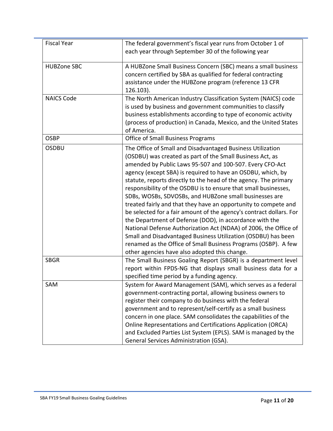| <b>Fiscal Year</b>               | The federal government's fiscal year runs from October 1 of<br>each year through September 30 of the following year                                                                                                                                                                                                                                                                                                                                                                                                                                                                                                                                                                                                                                                                                                                                                                                              |
|----------------------------------|------------------------------------------------------------------------------------------------------------------------------------------------------------------------------------------------------------------------------------------------------------------------------------------------------------------------------------------------------------------------------------------------------------------------------------------------------------------------------------------------------------------------------------------------------------------------------------------------------------------------------------------------------------------------------------------------------------------------------------------------------------------------------------------------------------------------------------------------------------------------------------------------------------------|
| <b>HUBZone SBC</b>               | A HUBZone Small Business Concern (SBC) means a small business<br>concern certified by SBA as qualified for federal contracting<br>assistance under the HUBZone program (reference 13 CFR<br>126.103).                                                                                                                                                                                                                                                                                                                                                                                                                                                                                                                                                                                                                                                                                                            |
| <b>NAICS Code</b><br><b>OSBP</b> | The North American Industry Classification System (NAICS) code<br>is used by business and government communities to classify<br>business establishments according to type of economic activity<br>(process of production) in Canada, Mexico, and the United States<br>of America.<br><b>Office of Small Business Programs</b>                                                                                                                                                                                                                                                                                                                                                                                                                                                                                                                                                                                    |
| <b>OSDBU</b>                     | The Office of Small and Disadvantaged Business Utilization<br>(OSDBU) was created as part of the Small Business Act, as<br>amended by Public Laws 95-507 and 100-507. Every CFO-Act<br>agency (except SBA) is required to have an OSDBU, which, by<br>statute, reports directly to the head of the agency. The primary<br>responsibility of the OSDBU is to ensure that small businesses,<br>SDBs, WOSBs, SDVOSBs, and HUBZone small businesses are<br>treated fairly and that they have an opportunity to compete and<br>be selected for a fair amount of the agency's contract dollars. For<br>the Department of Defense (DOD), in accordance with the<br>National Defense Authorization Act (NDAA) of 2006, the Office of<br>Small and Disadvantaged Business Utilization (OSDBU) has been<br>renamed as the Office of Small Business Programs (OSBP). A few<br>other agencies have also adopted this change. |
| <b>SBGR</b>                      | The Small Business Goaling Report (SBGR) is a department level<br>report within FPDS-NG that displays small business data for a<br>specified time period by a funding agency.                                                                                                                                                                                                                                                                                                                                                                                                                                                                                                                                                                                                                                                                                                                                    |
| SAM                              | System for Award Management (SAM), which serves as a federal<br>government-contracting portal, allowing business owners to<br>register their company to do business with the federal<br>government and to represent/self-certify as a small business<br>concern in one place. SAM consolidates the capabilities of the<br>Online Representations and Certifications Application (ORCA)<br>and Excluded Parties List System (EPLS). SAM is managed by the<br>General Services Administration (GSA).                                                                                                                                                                                                                                                                                                                                                                                                               |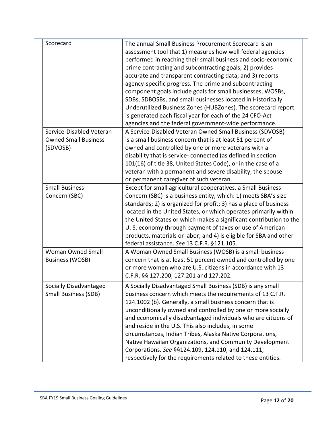| Scorecard                   | The annual Small Business Procurement Scorecard is an              |
|-----------------------------|--------------------------------------------------------------------|
|                             | assessment tool that 1) measures how well federal agencies         |
|                             | performed in reaching their small business and socio-economic      |
|                             | prime contracting and subcontracting goals, 2) provides            |
|                             | accurate and transparent contracting data; and 3) reports          |
|                             | agency-specific progress. The prime and subcontracting             |
|                             | component goals include goals for small businesses, WOSBs,         |
|                             | SDBs, SDBOSBs, and small businesses located in Historically        |
|                             | Underutilized Business Zones (HUBZones). The scorecard report      |
|                             | is generated each fiscal year for each of the 24 CFO-Act           |
|                             | agencies and the federal government-wide performance.              |
| Service-Disabled Veteran    | A Service-Disabled Veteran Owned Small Business (SDVOSB)           |
| <b>Owned Small Business</b> | is a small business concern that is at least 51 percent of         |
| (SDVOSB)                    | owned and controlled by one or more veterans with a                |
|                             | disability that is service-connected (as defined in section        |
|                             | 101(16) of title 38, United States Code), or in the case of a      |
|                             | veteran with a permanent and severe disability, the spouse         |
|                             | or permanent caregiver of such veteran.                            |
| <b>Small Business</b>       | Except for small agricultural cooperatives, a Small Business       |
| Concern (SBC)               | Concern (SBC) is a business entity, which: 1) meets SBA's size     |
|                             | standards; 2) is organized for profit; 3) has a place of business  |
|                             | located in the United States, or which operates primarily within   |
|                             | the United States or which makes a significant contribution to the |
|                             | U. S. economy through payment of taxes or use of American          |
|                             | products, materials or labor; and 4) is eligible for SBA and other |
|                             | federal assistance. See 13 C.F.R. §121.105.                        |
| <b>Woman Owned Small</b>    |                                                                    |
|                             | A Woman Owned Small Business (WOSB) is a small business            |
| Business (WOSB)             | concern that is at least 51 percent owned and controlled by one    |
|                             | or more women who are U.S. citizens in accordance with 13          |
|                             | C.F.R. §§ 127.200, 127.201 and 127.202.                            |
| Socially Disadvantaged      | A Socially Disadvantaged Small Business (SDB) is any small         |
| <b>Small Business (SDB)</b> | business concern which meets the requirements of 13 C.F.R.         |
|                             | 124.1002 (b). Generally, a small business concern that is          |
|                             | unconditionally owned and controlled by one or more socially       |
|                             | and economically disadvantaged individuals who are citizens of     |
|                             | and reside in the U.S. This also includes, in some                 |
|                             | circumstances, Indian Tribes, Alaska Native Corporations,          |
|                             | Native Hawaiian Organizations, and Community Development           |
|                             | Corporations. See §§124.109, 124.110, and 124.111,                 |
|                             | respectively for the requirements related to these entities.       |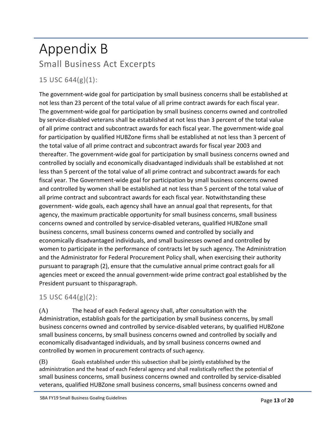# Appendix B Small Business Act Excerpts

# 15 USC 644(g)(1):

The government-wide goal for participation by small business concerns shall be established at not less than 23 percent of the total value of all prime contract awards for each fiscal year. The government-wide goal for participation by small business concerns owned and controlled by service-disabled veterans shall be established at not less than 3 percent of the total value of all prime contract and subcontract awards for each fiscal year. The government-wide goal for participation by qualified HUBZone firms shall be established at not less than 3 percent of the total value of all prime contract and subcontract awards for fiscal year 2003 and thereafter. The government-wide goal for participation by small business concerns owned and controlled by socially and economically disadvantaged individuals shall be established at not less than 5 percent of the total value of all prime contract and subcontract awards for each fiscal year. The Government-wide goal for participation by small business concerns owned and controlled by women shall be established at not less than 5 percent of the total value of all prime contract and subcontract awards for each fiscal year. Notwithstanding these government- wide goals, each agency shall have an annual goal that represents, for that agency, the maximum practicable opportunity for small business concerns, small business concerns owned and controlled by service-disabled veterans, qualified HUBZone small business concerns, small business concerns owned and controlled by socially and economically disadvantaged individuals, and small businesses owned and controlled by women to participate in the performance of contracts let by such agency. The Administration and the Administrator for Federal Procurement Policy shall, when exercising their authority pursuant to paragraph (2), ensure that the cumulative annual prime contract goals for all agencies meet or exceed the annual government-wide prime contract goal established by the President pursuant to thisparagraph.

## 15 USC 644(g)(2):

(A) The head of each Federal agency shall, after consultation with the Administration, establish goals for the participation by small business concerns, by small business concerns owned and controlled by service-disabled veterans, by qualified HUBZone small business concerns, by small business concerns owned and controlled by socially and economically disadvantaged individuals, and by small business concerns owned and controlled by women in procurement contracts of such agency.

(B) Goals established under this subsection shall be jointly established by the administration and the head of each Federal agency and shall realistically reflect the potential of small business concerns, small business concerns owned and controlled by service-disabled veterans, qualified HUBZone small business concerns, small business concerns owned and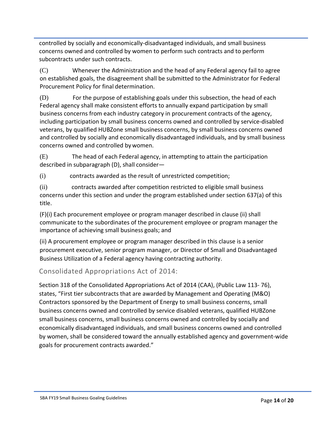controlled by socially and economically-disadvantaged individuals, and small business concerns owned and controlled by women to perform such contracts and to perform subcontracts under such contracts.

(C) Whenever the Administration and the head of any Federal agency fail to agree on established goals, the disagreement shall be submitted to the Administrator for Federal Procurement Policy for final determination.

(D) For the purpose of establishing goals under this subsection, the head of each Federal agency shall make consistent efforts to annually expand participation by small business concerns from each industry category in procurement contracts of the agency, including participation by small business concerns owned and controlled by service-disabled veterans, by qualified HUBZone small business concerns, by small business concerns owned and controlled by socially and economically disadvantaged individuals, and by small business concerns owned and controlled by women.

(E) The head of each Federal agency, in attempting to attain the participation described in subparagraph (D), shall consider—

(i) contracts awarded as the result of unrestricted competition;

(ii) contracts awarded after competition restricted to eligible small business concerns under this section and under the program established under section 637(a) of this title.

(F)(i) Each procurement employee or program manager described in clause (ii) shall communicate to the subordinates of the procurement employee or program manager the importance of achieving small business goals; and

(ii) A procurement employee or program manager described in this clause is a senior procurement executive, senior program manager, or Director of Small and Disadvantaged Business Utilization of a Federal agency having contracting authority.

## Consolidated Appropriations Act of 2014:

Section 318 of the Consolidated Appropriations Act of 2014 (CAA), (Public Law 113- 76), states, "First tier subcontracts that are awarded by Management and Operating (M&O) Contractors sponsored by the Department of Energy to small business concerns, small business concerns owned and controlled by service disabled veterans, qualified HUBZone small business concerns, small business concerns owned and controlled by socially and economically disadvantaged individuals, and small business concerns owned and controlled by women, shall be considered toward the annually established agency and government-wide goals for procurement contracts awarded."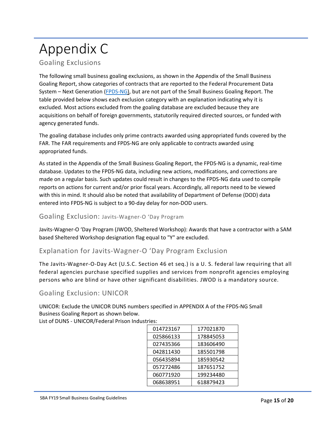# Appendix C

## Goaling Exclusions

The following small business goaling exclusions, as shown in the Appendix of the Small Business Goaling Report, show categories of contracts that are reported to the Federal Procurement Data System – Next Generation [\(FPDS-NG\)](https://www.fpds.gov/Reports/manage/html/preview_Small_Business_Goaling_Report.html), but are not part of the Small Business Goaling Report. The table provided below shows each exclusion category with an explanation indicating why it is excluded. Most actions excluded from the goaling database are excluded because they are acquisitions on behalf of foreign governments, statutorily required directed sources, or funded with agency generated funds.

The goaling database includes only prime contracts awarded using appropriated funds covered by the FAR. The FAR requirements and FPDS-NG are only applicable to contracts awarded using appropriated funds.

As stated in the Appendix of the Small Business Goaling Report, the FPDS-NG is a dynamic, real-time database. Updates to the FPDS-NG data, including new actions, modifications, and corrections are made on a regular basis. Such updates could result in changes to the FPDS-NG data used to compile reports on actions for current and/or prior fiscal years. Accordingly, all reports need to be viewed with this in mind. It should also be noted that availability of Department of Defense (DOD) data entered into FPDS-NG is subject to a 90-day delay for non-DOD users.

#### Goaling Exclusion: Javits-Wagner-O 'Day Program

Javits-Wagner-O 'Day Program (JWOD, Sheltered Workshop): Awards that have a contractor with a SAM based Sheltered Workshop designation flag equal to "Y" are excluded.

### Explanation for Javits-Wagner-O 'Day Program Exclusion

The Javits-Wagner-O-Day Act (U.S.C. Section 46 et seq.) is a U. S. federal law requiring that all federal agencies purchase specified supplies and services from nonprofit agencies employing persons who are blind or have other significant disabilities. JWOD is a mandatory source.

### Goaling Exclusion: UNICOR

UNICOR: Exclude the UNICOR DUNS numbers specified in APPENDIX A of the FPDS-NG Small Business Goaling Report as shown below.

List of DUNS - UNICOR/Federal Prison Industries:

| 014723167 | 177021870 |
|-----------|-----------|
| 025866133 | 178845053 |
| 027435366 | 183606490 |
| 042811430 | 185501798 |
| 056435894 | 185930542 |
| 057272486 | 187651752 |
| 060771920 | 199234480 |
| 068638951 | 618879423 |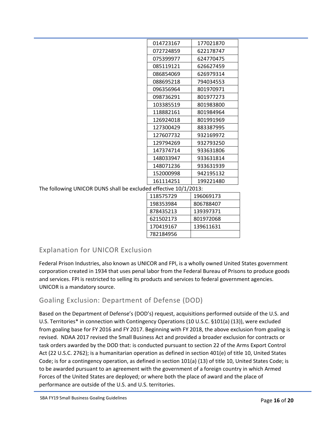| 014723167<br>177021870<br>072724859<br>622178747<br>624770475<br>075399977<br>085119121<br>626627459<br>086854069<br>626979314<br>088695218<br>794034553<br>096356964<br>801970971<br>098736291<br>801977273<br>103385519<br>801983800<br>118882161<br>801984964<br>801991969<br>126924018<br>127300429<br>883387995<br>127607732<br>932169972<br>129794269<br>932793250<br>147374714<br>933631806<br>148033947<br>933631814 |
|------------------------------------------------------------------------------------------------------------------------------------------------------------------------------------------------------------------------------------------------------------------------------------------------------------------------------------------------------------------------------------------------------------------------------|
|                                                                                                                                                                                                                                                                                                                                                                                                                              |
|                                                                                                                                                                                                                                                                                                                                                                                                                              |
|                                                                                                                                                                                                                                                                                                                                                                                                                              |
|                                                                                                                                                                                                                                                                                                                                                                                                                              |
|                                                                                                                                                                                                                                                                                                                                                                                                                              |
|                                                                                                                                                                                                                                                                                                                                                                                                                              |
|                                                                                                                                                                                                                                                                                                                                                                                                                              |
|                                                                                                                                                                                                                                                                                                                                                                                                                              |
|                                                                                                                                                                                                                                                                                                                                                                                                                              |
|                                                                                                                                                                                                                                                                                                                                                                                                                              |
|                                                                                                                                                                                                                                                                                                                                                                                                                              |
|                                                                                                                                                                                                                                                                                                                                                                                                                              |
|                                                                                                                                                                                                                                                                                                                                                                                                                              |
|                                                                                                                                                                                                                                                                                                                                                                                                                              |
|                                                                                                                                                                                                                                                                                                                                                                                                                              |
|                                                                                                                                                                                                                                                                                                                                                                                                                              |
| 148071236<br>933631939                                                                                                                                                                                                                                                                                                                                                                                                       |
| 152000998<br>942195132                                                                                                                                                                                                                                                                                                                                                                                                       |
| 161114251<br>199221480                                                                                                                                                                                                                                                                                                                                                                                                       |

The following UNICOR DUNS shall be excluded effective 10/1/2013:

| 118575729 | 196069173 |  |
|-----------|-----------|--|
| 198353984 | 806788407 |  |
| 878435213 | 139397371 |  |
| 621502173 | 801972068 |  |
| 170419167 | 139611631 |  |
| 782184956 |           |  |

## Explanation for UNICOR Exclusion

Federal Prison Industries, also known as UNICOR and FPI, is a wholly owned United States government corporation created in 1934 that uses penal labor from the Federal Bureau of Prisons to produce goods and services. FPI is restricted to selling its products and services to federal government agencies. UNICOR is a mandatory source.

## Goaling Exclusion: Department of Defense (DOD)

Based on the Department of Defense's (DOD's) request, acquisitions performed outside of the U.S. and U.S. Territories\* in connection with Contingency Operations (10 U.S.C. §101(a) (13)), were excluded from goaling base for FY 2016 and FY 2017. Beginning with FY 2018, the above exclusion from goaling is revised. NDAA 2017 revised the Small Business Act and provided a broader exclusion for contracts or task orders awarded by the DOD that: is conducted pursuant to section 22 of the Arms Export Control Act (22 U.S.C. 2762); is a humanitarian operation as defined in section 401(e) of title 10, United States Code; is for a contingency operation, as defined in section 101(a) (13) of title 10, United States Code; is to be awarded pursuant to an agreement with the government of a foreign country in which Armed Forces of the United States are deployed; or where both the place of award and the place of performance are outside of the U.S. and U.S. territories.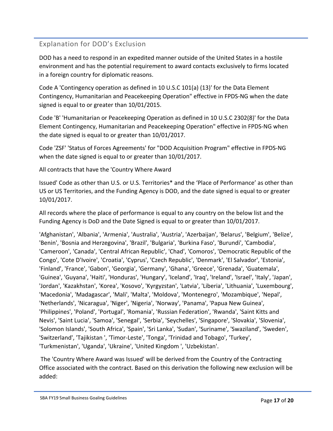## Explanation for DOD's Exclusion

DOD has a need to respond in an expedited manner outside of the United States in a hostile environment and has the potential requirement to award contacts exclusively to firms located in a foreign country for diplomatic reasons.

Code A 'Contingency operation as defined in 10 U.S.C 101(a) (13)' for the Data Element Contingency, Humanitarian and Peacekeeping Operation" effective in FPDS-NG when the date signed is equal to or greater than 10/01/2015.

Code 'B' 'Humanitarian or Peacekeeping Operation as defined in 10 U.S.C 2302(8)' for the Data Element Contingency, Humanitarian and Peacekeeping Operation" effective in FPDS-NG when the date signed is equal to or greater than 10/01/2017.

Code 'ZSF' 'Status of Forces Agreements' for "DOD Acquisition Program" effective in FPDS-NG when the date signed is equal to or greater than 10/01/2017.

All contracts that have the 'Country Where Award

Issued' Code as other than U.S. or U.S. Territories\* and the 'Place of Performance' as other than US or US Territories, and the Funding Agency is DOD, and the date signed is equal to or greater 10/01/2017.

All records where the place of performance is equal to any country on the below list and the Funding Agency is DoD and the Date Signed is equal to or greater than 10/01/2017.

'Afghanistan', 'Albania', 'Armenia', 'Australia', 'Austria', 'Azerbaijan', 'Belarus', 'Belgium', 'Belize', 'Benin', 'Bosnia and Herzegovina', 'Brazil', 'Bulgaria', 'Burkina Faso', 'Burundi', 'Cambodia', 'Cameroon', 'Canada', 'Central African Republic', 'Chad', 'Comoros', 'Democratic Republic of the Congo', 'Cote D'Ivoire', 'Croatia', 'Cyprus', 'Czech Republic', 'Denmark', 'El Salvador', 'Estonia', 'Finland', 'France', 'Gabon', 'Georgia', 'Germany', 'Ghana', 'Greece', 'Grenada', 'Guatemala', 'Guinea', 'Guyana', 'Haiti', 'Honduras', 'Hungary', 'Iceland', 'Iraq', 'Ireland', 'Israel', 'Italy', 'Japan', 'Jordan', 'Kazakhstan', 'Korea', 'Kosovo', 'Kyrgyzstan', 'Latvia', 'Liberia', 'Lithuania', 'Luxembourg', 'Macedonia', 'Madagascar', 'Mali', 'Malta', 'Moldova', 'Montenegro', 'Mozambique', 'Nepal', 'Netherlands', 'Nicaragua', 'Niger', 'Nigeria', 'Norway', 'Panama', 'Papua New Guinea', 'Philippines', 'Poland', 'Portugal', 'Romania', 'Russian Federation', 'Rwanda', 'Saint Kitts and Nevis', 'Saint Lucia', 'Samoa', 'Senegal', 'Serbia', 'Seychelles', 'Singapore', 'Slovakia', 'Slovenia', 'Solomon Islands', 'South Africa', 'Spain', 'Sri Lanka', 'Sudan', 'Suriname', 'Swaziland', 'Sweden', 'Switzerland', 'Tajikistan ', 'Timor-Leste', 'Tonga', 'Trinidad and Tobago', 'Turkey', 'Turkmenistan', 'Uganda', 'Ukraine', 'United Kingdom ', 'Uzbekistan'.

The 'Country Where Award was Issued' will be derived from the Country of the Contracting Office associated with the contract. Based on this derivation the following new exclusion will be added: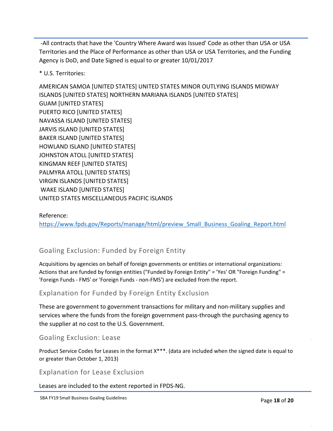-All contracts that have the 'Country Where Award was Issued' Code as other than USA or USA Territories and the Place of Performance as other than USA or USA Territories, and the Funding Agency is DoD, and Date Signed is equal to or greater 10/01/2017

\* U.S. Territories:

AMERICAN SAMOA [UNITED STATES] UNITED STATES MINOR OUTLYING ISLANDS MIDWAY ISLANDS [UNITED STATES] NORTHERN MARIANA ISLANDS [UNITED STATES] GUAM [UNITED STATES] PUERTO RICO [UNITED STATES] NAVASSA ISLAND [UNITED STATES] JARVIS ISLAND [UNITED STATES] BAKER ISLAND [UNITED STATES] HOWLAND ISLAND [UNITED STATES] JOHNSTON ATOLL [UNITED STATES] KINGMAN REEF [UNITED STATES] PALMYRA ATOLL [UNITED STATES] VIRGIN ISLANDS [UNITED STATES] WAKE ISLAND [UNITED STATES] UNITED STATES MISCELLANEOUS PACIFIC ISLANDS

### Reference: [https://www.fpds.gov/Reports/manage/html/preview\\_Small\\_Business\\_Goaling\\_Report.html](https://www.fpds.gov/Reports/manage/html/preview_Small_Business_Goaling_Report.html)

## Goaling Exclusion: Funded by Foreign Entity

Acquisitions by agencies on behalf of foreign governments or entities or international organizations: Actions that are funded by foreign entities ("Funded by Foreign Entity" = 'Yes' OR "Foreign Funding" = 'Foreign Funds - FMS' or 'Foreign Funds - non-FMS') are excluded from the report.

## Explanation for Funded by Foreign Entity Exclusion

These are government to government transactions for military and non-military supplies and services where the funds from the foreign government pass-through the purchasing agency to the supplier at no cost to the U.S. Government.

## Goaling Exclusion: Lease

Product Service Codes for Leases in the format X\*\*\*. (data are included when the signed date is equal to or greater than October 1, 2013)

## Explanation for Lease Exclusion

Leases are included to the extent reported in FPDS-NG.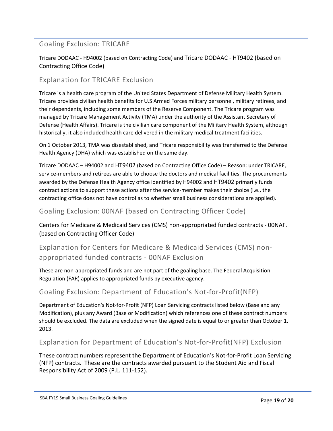## Goaling Exclusion: TRICARE

Tricare DODAAC - H94002 (based on Contracting Code) and Tricare DODAAC - HT9402 (based on Contracting Office Code)

### Explanation for TRICARE Exclusion

Tricare is a health care program of the United States Department of Defense Military Health System. Tricare provides civilian health benefits for U.S Armed Forces military personnel, military retirees, and their dependents, including some members of the Reserve Component. The Tricare program was managed by Tricare Management Activity (TMA) under the authority of the Assistant Secretary of Defense (Health Affairs). Tricare is the civilian care component of the Military Health System, although historically, it also included health care delivered in the military medical treatment facilities.

On 1 October 2013, TMA was disestablished, and Tricare responsibility was transferred to the Defense Health Agency (DHA) which was established on the same day.

Tricare DODAAC – H94002 and HT9402 (based on Contracting Office Code) – Reason: under TRICARE, service-members and retirees are able to choose the doctors and medical facilities. The procurements awarded by the Defense Health Agency office identified by H94002 and HT9402 primarily funds contract actions to support these actions after the service-member makes their choice (i.e., the contracting office does not have control as to whether small business considerations are applied).

### Goaling Exclusion: 00NAF (based on Contracting Officer Code)

Centers for Medicare & Medicaid Services (CMS) non-appropriated funded contracts - 00NAF. (based on Contracting Officer Code)

Explanation for Centers for Medicare & Medicaid Services (CMS) nonappropriated funded contracts - 00NAF Exclusion

These are non-appropriated funds and are not part of the goaling base. The Federal Acquisition Regulation (FAR) applies to appropriated funds by executive agency.

### Goaling Exclusion: Department of Education's Not-for-Profit(NFP)

Department of Education's Not-for-Profit (NFP) Loan Servicing contracts listed below (Base and any Modification), plus any Award (Base or Modification) which references one of these contract numbers should be excluded. The data are excluded when the signed date is equal to or greater than October 1, 2013.

### Explanation for Department of Education's Not-for-Profit(NFP) Exclusion

These contract numbers represent the Department of Education's Not-for-Profit Loan Servicing (NFP) contracts. These are the contracts awarded pursuant to the Student Aid and Fiscal Responsibility Act of 2009 (P.L. 111-152).